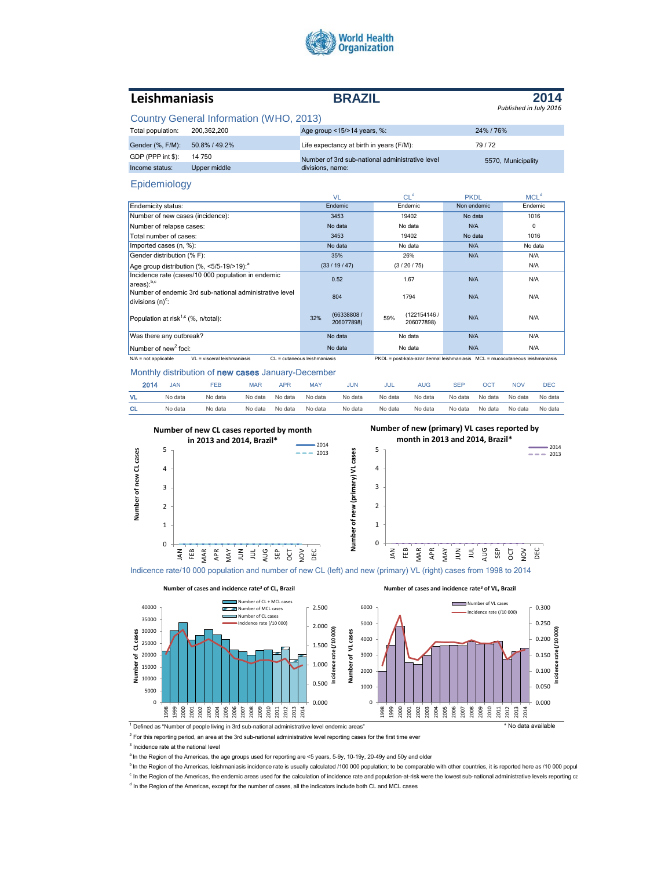

# **Leishmaniasis BRAZIL**

**2014** *Published in July 2016*

**Incidence rate (/10 000)**

# Country General Information (WHO, 2013)

| Total population: | 200.362.200   | Age group <15/>>14 years, %:                    | 24%/76%            |
|-------------------|---------------|-------------------------------------------------|--------------------|
| Gender (%, F/M):  | 50.8% / 49.2% | Life expectancy at birth in years (F/M):        | 79/72              |
| GDP (PPP int \$): | 14 750        | Number of 3rd sub-national administrative level | 5570, Municipality |
| Income status:    | Upper middle  | divisions, name:                                |                    |

### Epidemiology

|                                                                                | VL                              | CL <sup>d</sup>                                                               | <b>PKDL</b> | MCL <sup>d</sup> |
|--------------------------------------------------------------------------------|---------------------------------|-------------------------------------------------------------------------------|-------------|------------------|
| Endemicity status:                                                             | Endemic                         | Endemic                                                                       | Non endemic | Endemic          |
| Number of new cases (incidence):                                               | 3453                            | 19402                                                                         | No data     | 1016             |
| Number of relapse cases:                                                       | No data                         | No data                                                                       | N/A         | $\mathbf 0$      |
| Total number of cases:                                                         | 3453                            | 19402                                                                         | No data     | 1016             |
| Imported cases (n, %):                                                         | No data                         | No data                                                                       | N/A         | No data          |
| Gender distribution (% F):                                                     | 35%                             | 26%                                                                           | N/A         | N/A              |
| Age group distribution (%, <5/5-19/>19): <sup>a</sup>                          | (33/19/47)                      | (3/20/75)                                                                     |             | N/A              |
| Incidence rate (cases/10 000 population in endemic<br>$ area$ : $b, c$         | 0.52                            | 1.67                                                                          | N/A         | N/A              |
| Number of endemic 3rd sub-national administrative level<br>divisions $(n)^c$ : | 804                             | 1794                                                                          | N/A         | N/A              |
| Population at risk <sup>1,c</sup> (%, n/total):                                | (66338808/<br>32%<br>206077898) | (122154146 /<br>59%<br>206077898)                                             | N/A         | N/A              |
| Was there any outbreak?                                                        | No data                         | No data                                                                       | N/A         | N/A              |
| Number of new <sup>2</sup> foci:                                               | No data                         | No data                                                                       | N/A         | N/A              |
| $VI = visceral leishmaniasis$<br>$N/A$ = not applicable                        | $Cl = cutaneous leishmaniasis$  | PKDL = post-kala-azar dermal leishmaniasis  MCL = mucocutaneous leishmaniasis |             |                  |

Monthly distribution of new cases January-December

**Number of cases and incidence rate<sup>3</sup> of CL, Brazil**

| 2014 | <b>JAN</b> | FEB     | MAR     | APR     | <b>MAY</b> | JUN     | JUL     | AUG     | SEP     | ОСТ     | <b>NOV</b> | DEC     |
|------|------------|---------|---------|---------|------------|---------|---------|---------|---------|---------|------------|---------|
| VL   | No data    | No data | No data | No data | No data    | No data | No data | No data | No data | No data | No data    | No data |
| СL   | No data    | No data | No data | No data | No data    | No data | No data | No data | No data | No data | No data    | No data |
|      |            |         |         |         |            |         |         |         |         |         |            |         |



Indicence rate/10 000 population and number of new CL (left) and new (primary) VL (right) cases from 1998 to 2014

**Number of cases and incidence rate<sup>3</sup> of VL, Brazil**



<sup>1</sup> Defined as "Number of people living in 3rd sub-national administrative level endemic areas" \* No data available

 $2$  For this reporting period, an area at the 3rd sub-national administrative level reporting cases for the first time ever

<sup>3</sup> Incidence rate at the national level

<sup>a</sup> In the Region of the Americas, the age groups used for reporting are <5 years, 5-9y, 10-19y, 20-49y and 50y and older

 $b$  In the Region of the Americas, leishmaniasis incidence rate is usually calculated /100 000 population; to be comparable with other countries, it is reported here as /10 000 popul

<sup>c</sup> In the Region of the Americas, the endemic areas used for the calculation of incidence rate and population-at-risk were the lowest sub-national administrative levels reporting care

<sup>d</sup> In the Region of the Americas, except for the number of cases, all the indicators include both CL and MCL cases